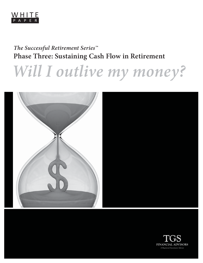

# *The Successful Retirement Series™*

**Will I outlive my money?** 



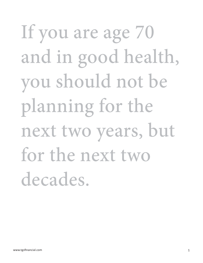# If you are age 70 and in good health, you should not be planning for the next two years, but for the next two decades.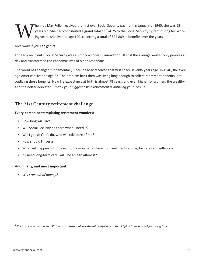When Ida May Fuller received the first-ever Social Security payment in January of 1940, she was 65<br>years old. She had contributed a grand total of \$24.75 to the Social Security system during her working years. She lived to years old. She had contributed a grand total of \$24.75 to the Social Security system during her working years. She lived to age 100, collecting a total of \$22,889 in benefits over the years.

Nice work if you can get it!

For early recipients, Social Security was a simply wonderful innovation. It cost the average worker only pennies a day and transformed the economic lives of older Americans.

The world has changed fundamentally since Ida May received that first check seventy years ago. In 1940, the average American lived to age 63. The problem back then was living long enough to collect retirement benefits, not outliving those benefits. Now life expectancy at birth is almost 78 years, and even higher for women, the wealthy and the better educated<sup>1</sup>. *Today your biggest risk in retirement is outliving your income.* 

# **The 21st Century retirement challenge**

# **Every person contemplating retirement wonders:**

- How long will I live?
- Will Social Security be there when I need it?
- Will I get sick? If I do, who will take care of me?
- How should I invest?
- What will happen with the economy  $-$  in particular with investment returns, tax rates and inflation?
- If I need long-term care, will I be able to afford it?

# And finally, and most important:

*• Will I run out of money?*

<sup>&</sup>lt;sup>1</sup> If you are a woman with a PhD and a substantial investment portfolio, you should plan to be around for a long time.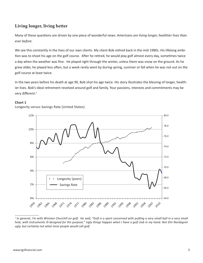# **Living longer, living better**

Many of these questions are driven by one piece of wonderful news: *Americans are living longer, healthier lives than ever before.* 

We see this constantly in the lives of our own clients. My client Bob retired back in the mid-1980s. His lifelong ambition was to shoot his age on the golf course. After he retired, he would play golf almost every day, sometimes twice a day when the weather was fine. He played right through the winter, unless there was snow on the ground. As he grew older, he played less often, but a week rarely went by during spring, summer or fall when he was not out on the golf course at least twice.

In the two years before his death at age 90, Bob shot his age twice. His story illustrates the blessing of longer, healthier lives. Bob's ideal retirement revolved around golf and family. Your passions, interests and commitments may be very different.<sup>2</sup>

#### **Chart 1**

Longevity versus Savings Rate (United States)



<sup>&</sup>lt;sup>2</sup> In general, I'm with Winston Churchill on golf. He said, "Golf is a sport concerned with putting a very small ball in a very small *hole, with instruments ill-designed for the purpose." Ugly things happen when I have a golf club in my hand. Not Elin Nordegren ugly, but certainly not what most people would call golf.*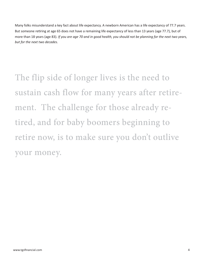Many folks misunderstand a key fact about life expectancy. A newborn American has a life expectancy of 77.7 years. But someone retiring at age 65 does not have a remaining life expectancy of less than 13 years (age 77.7), but of more than 18 years (age 83). *If you are age 70 and in good health, you should not be planning for the next two years, but for the next two decades.*

The flip side of longer lives is the need to sustain cash flow for many years after retirement. The challenge for those already retired, and for baby boomers beginning to retire now, is to make sure you don't outlive your money.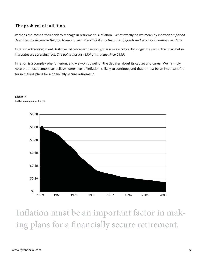# **The problem of inflation**

Perhaps the most difficult risk to manage in retirement is inflation. What exactly do we mean by inflation? *Inflation describes the decline in the purchasing power of each dollar as the price of goods and services increases over time.* 

Inflation is the slow, silent destroyer of retirement security, made more critical by longer lifespans. The chart below illustrates a depressing fact. *The dollar has lost 85% of its value since 1959.* 

Inflation is a complex phenomenon, and we won't dwell on the debates about its causes and cures. We'll simply note that most economists believe some level of inflation is likely to continue, and that it must be an important factor in making plans for a financially secure retirement.



**Chart 2** Inflation since 1959

Inflation must be an important factor in making plans for a financially secure retirement.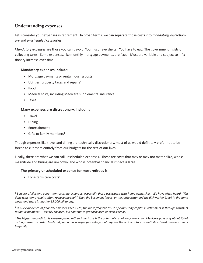# **Understanding expenses**

Let's consider your expenses in retirement. In broad terms, we can separate those costs into *mandatory, discretionary* and *unscheduled* categories.

*Mandatory expenses* are those you can't avoid. You must have shelter. You have to eat. The government insists on collecting taxes. Some expenses, like monthly mortgage payments, are fixed. Most are variable and subject to inflationary increase over time.

# **Mandatory expenses include:**

- Mortgage payments or rental housing costs
- $\bullet$  Utilities, property taxes and repairs<sup>3</sup>
- Food
- Medical costs, including Medicare supplemental insurance
- Taxes

#### **Many expenses are discreti onary, including:**

- Travel
- Dining
- Entertainment
- Gifts to family members<sup>4</sup>

Though expenses like travel and dining are technically discretionary, most of us would definitely prefer not to be forced to cut them entirely from our budgets for the rest of our lives.

Finally, there are what we can call unscheduled expenses. These are costs that may or may not materialize, whose magnitude and timing are unknown, and whose potential financial impact is large.

# The primary unscheduled expense for most retirees is:

 $\bullet$  Long-term care costs<sup>5</sup>

<sup>&</sup>lt;sup>3</sup> Beware of illusions about non-recurring expenses, especially those associated with home ownership. We have often heard, "I'm done with home repairs after I replace the roof." Then the basement floods, or the refrigerator and the dishwasher break in the same *week, and there is another \$5,000 bill to pay.*

<sup>4</sup>  *In our experience as fi nancial advisors since 1978, the most frequent cause of exhausti ng capital in reti rement is through transfers to family members — usually children, but someti mes grandchildren or even siblings.*

 $^{\rm 5}$  The biggest unpredictable expense facing retired Americans is the potential cost of long-term care. Medicare pays only about 3% of *all long-term care costs. Medicaid pays a much larger percentage, but requires the recipient to substanti ally exhaust personal assets to qualify.*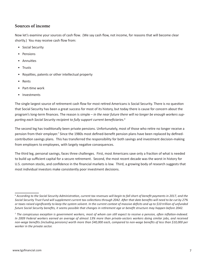# **Sources of income**

Now let's examine your sources of cash flow. (We say cash flow, not income, for reasons that will become clear shortly.) You may receive cash flow from:

- Social Security
- Pensions
- Annuities
- Trusts
- Royalties, patents or other intellectual property
- Rents
- Part-time work
- Investments

The single largest source of retirement cash flow for most retired Americans is Social Security. There is no question that Social Security has been a great success for most of its history, but today there is cause for concern about the program's long-term finances. The reason is simple – *in the near future there will no longer be enough workers sup*porting each Social Security recipient to fully support current beneficiaries.<sup>6</sup>

The second leg has traditionally been private pensions. Unfortunately, most of those who retire no longer receive a pension from their employer.<sup>7</sup> Since the 1980s most defined-benefit pension plans have been replaced by definedcontribution savings plans. This has transferred the responsibility for both savings and investment decision-making from employers to employees, with largely negative consequences.

The third leg, personal savings, faces three challenges. First, most Americans save only a fraction of what is needed to build up sufficient capital for a secure retirement. Second, the most recent decade was the worst in history for U.S. common stocks, and confidence in the financial markets is low. Third, a growing body of research suggests that most individual investors make consistently poor investment decisions.

 $^6$  According to the Social Security Administration, current tax revenues will begin to fall short of benefit payments in 2017, and the *Social Security Trust Fund will supplement current tax collecti ons through 2042. Aft er that date benefi ts will need to be cut by 27%*  or taxes raised significantly to keep the system solvent. In the current context of massive deficits and up to \$10 trillion of unfunded future Social Security benefits, it seems possible that changes in retirement age or benefit structure may happen before 2042.

<sup>&</sup>lt;sup>7</sup> The conspicuous exception is government workers, most of whom can still expect to receive a pension, often inflation-indexed. *In 2009 Federal workers earned an average of almost 13% more than private-sectors workers doing similar jobs, and received*  non-wage benefits (including pensions) worth more than \$40,000 each, compared to non-wage benefits of less than \$10,000 per *worker in the private sector.*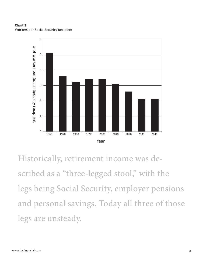



Historically, retirement income was described as a "three-legged stool," with the legs being Social Security, employer pensions and personal savings. Today all three of those legs are unsteady.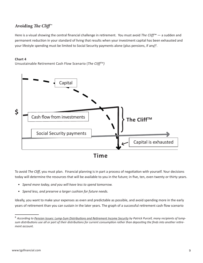# **Avoiding** *The Cliff***™**

Here is a visual showing the central financial challenge in retirement. You must avoid *The Cliff™* — a sudden and permanent reduction in your standard of living that results when your investment capital has been exhausted and your lifestyle spending must be limited to Social Security payments alone (plus pensions, if any)<sup>8</sup>.

#### **Chart 4**

Unsustainable Retirement Cash Flow Scenario (*The CliffTM)*



To avoid The Cliff, you must plan. Financial planning is in part a process of negotiation with yourself. Your decisions today will determine the resources that will be available to you in the future; in five, ten, even twenty or thirty years.

- *Spend more today, and you will have less to spend tomorrow.*
- *Spend less, and preserve a larger cushion for future needs.*

Ideally, you want to make your expenses as even and predictable as possible, and avoid spending more in the early years of retirement than you can sustain in the later years. The graph of a successful retirement cash flow scenario

<sup>&</sup>lt;sup>8</sup> According to Pension Issues: Lump-Sum Distributions and Retirement Income Security by Patrick Purcell, many recipients of lumpsum distributions use all or part of their distributions for current consumption rather than depositing the finds into another retire*ment account.*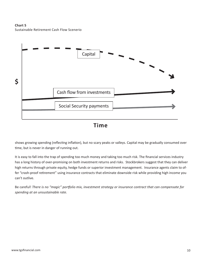**Chart 5** Sustainable Retirement Cash Flow Scenerio



**Time**

shows growing spending (reflecting inflation), but no scary peaks or valleys. Capital may be gradually consumed over time, but is never in danger of running out.

It is easy to fall into the trap of spending too much money and taking too much risk. The financial services industry has a long history of over-promising on both investment returns and risks. Stockbrokers suggest that they can deliver high returns through private equity, hedge funds or superior investment management. Insurance agents claim to offer "crash-proof retirement" using insurance contracts that eliminate downside risk while providing high income you can't outlive.

Be careful! There is no "magic" portfolio mix, investment strategy or insurance contract that can compensate for *spending at an unsustainable rate.*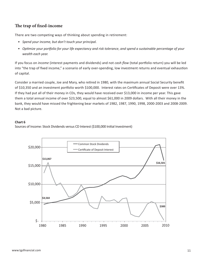# **The trap of fixed-income**

There are two competing ways of thinking about spending in retirement:

- *Spend your income, but don't touch your principal.*
- *Opti mize your portf olio for your life expectancy and risk tolerance*, *and* s*pend a sustainable percentage of your wealth each year.*

If you focus on *income* (interest payments and dividends) and not *cash flow* (total portfolio return) you will be led into "the trap of fixed income," a scenario of early over-spending, low investment returns and eventual exhaustion of capital.

Consider a married couple, Joe and Mary, who retired in 1980, with the maximum annual Social Security benefit of \$10,350 and an investment portfolio worth \$100,000. Interest rates on Certificates of Deposit were over 13%. If they had put all of their money in CDs, they would have received over \$13,000 in income per year. This gave them a total annual income of over \$23,500, equal to almost \$61,000 in 2009 dollars. With all their money in the bank, they would have missed the frightening bear markets of 1982, 1987, 1990, 1998, 2000-2003 and 2008-2009. Not a bad picture.

#### **Chart 6**

Sources of Income: Stock Dividends versus CD Interest (\$100,000 Initial Investment)

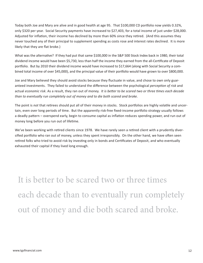Today both Joe and Mary are alive and in good health at age 95. That \$100,000 CD portfolio now yields 0.32%, only \$320 per year. Social Security payments have increased to \$27,403, for a total income of just under \$28,000. Adjusted for inflation, their income has declined by more than 60% since they retired. (And this assumes they never touched any of their principal to supplement spending as costs rose and interest rates declined. It is more likely that they are flat broke.)

What was the alternative? If they had put that same \$100,000 in the S&P 500 Stock Index back in 1980, their total dividend income would have been \$5,730, less than half the income they earned from the all-Certificate of Deposit portfolio. But by 2010 their dividend income would have increased to \$17,664 (along with Social Security a combined total income of over \$45,000), and the principal value of their portfolio would have grown to over \$800,000.

Joe and Mary believed they should avoid stocks because they fluctuate in value, and chose to own only guaranteed investments. They failed to understand the difference between the psychological *perception of risk* and actual *economic risk*. As a result, they ran out of money. *It is better to be scared two or three times each decade than to eventually run completely out of money and to die both scared and broke.*

The point is not that retirees should put all of their money in stocks. Stock portfolios are highly volatile and uncertain, even over long periods of time. But the apparently risk-free fixed-income portfolio strategy usually follows a deadly pattern – overspend early, begin to consume capital as inflation reduces spending power, and run out of money long before you run out of lifetime.

We've been working with retired clients since 1978. We have rarely seen a retired client with a prudently diversified portfolio who ran out of money, unless they spent irresponsibly. On the other hand, we have often seen retired folks who tried to avoid risk by investing only in bonds and Certificates of Deposit, and who eventually exhausted their capital if they lived long enough.

It is better to be scared two or three times each decade than to eventually run completely out of money and die both scared and broke.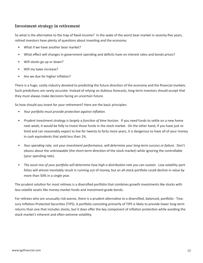# **Investment strategy in retirement**

So what is the alternative to the trap of fixed-income? In the wake of the worst bear market in seventy-five years, retired investors have plenty of questions about investing and the economy:

- What if we have another bear market?
- What effect will changes in government spending and deficits have on interest rates and bonds prices?
- Will stocks go up or down?
- Will my taxes increase?
- Are we due for higher inflation?

There is a huge, costly industry devoted to predicting the future direction of the economy and the financial markets. Such predictions are rarely accurate. Instead of relying on dubious forecasts, long-term investors should accept that they must always make decisions facing an uncertain future.

So how should you invest for your retirement? Here are the basic principles:

- *Your portfolio must provide protection against inflation.*
- Prudent investment strategy is largely a function of time horizon. If you need funds to settle on a new home next week, it would be folly to invest those funds in the stock market. On the other hand, if you have just retired and can reasonably expect to live for twenty to forty more years, it is dangerous to have all of your money in cash equivalents that yield less than 1%.
- *Your spending rate, not your investment performance, will determine your long-term success or failure.* Don't obsess about the unknowable (the short-term direction of the stock market) while ignoring the controllable (your spending rate).
- The asset mix of your portfolio will determine how high a distribution rate you can sustain. Low volatility portfolios will almost inevitably result in running out of money, but an all-stock portfolio could decline in value by more than 50% in a single year.

The prudent solution for most retirees is a diversified portfolio that combines growth investments like stocks with less-volatile assets like money-market funds and investment-grade bonds.

For retirees who are unusually risk-averse, there is a prudent alternative to a diversified, balanced, portfolio - Treasury Inflation-Protected Securities (TIPS). A portfolio consisting primarily of TIPS is likely to provide lower long-term returns than one that includes stocks, but it does offer the key component of inflation protection while avoiding the stock market's inherent and often extreme volatility.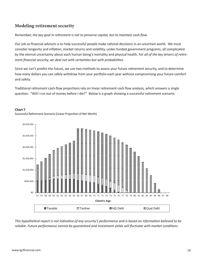# **Modeling retirement security**

Remember, *the key goal in retirement is not to preserve capital, but to maintain cash flow.* 

Our job as financial advisors is to help successful people make rational decisions in an uncertain world. We must consider longevity and inflation, market returns and volatility, under-funded government programs, all complicated by the eternal uncertainty about each human being's mortality and physical health. For all of the key drivers of retire*ment financial security, we deal not with certainties but with probabilities.* 

Since we can't predict the future, we use two methods to assess your future retirement security, and to determine how many dollars you can safely withdraw from your portfolio each year without compromising your future comfort and safety.

Traditional retirement cash-flow projections rely on linear retirement cash flow analysis, which answers a single question: "Will I run out of money before I die?" Below is a graph showing a successful retirement scenario.

#### **Chart 7**

Successful Retirement Scenario (Linear Projection of Net Worth)



*This hypotheti cal report is not indicati ve of any security's performance and is based on informati on believed to be reliable. Future performance cannot be guaranteed and investment yields will fl uctuate with market conditi ons*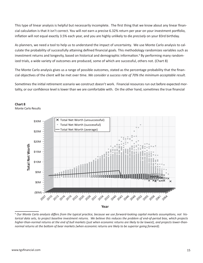This type of linear analysis is helpful but necessarily incomplete. The first thing that we know about any linear financial calculation is that it isn't correct. You will *not* earn a precise 6.32% return per year on your investment portfolio, inflation will *not* equal exactly 3.5% each year, and you are highly unlikely to die *precisely* on your 83rd birthday.

As planners, we need a tool to help us to understand the impact of uncertainty. We use Monte Carlo analysis to calculate the probability of successfully attaining defined financial goals. This methodology randomizes variables such as investment returns and longevity, based on historical and demographic information.<sup>9</sup> By performing many randomized trials, a wide variety of outcomes are produced, some of which are successful, others not. (Chart 8)

The Monte Carlo analysis gives us a range of possible outcomes, stated as the percentage probability that the financial objectives of the client will be met over time. We consider a success rate of 70% the minimum acceptable result.

Sometimes the initial retirement scenario we construct doesn't work. Financial resources run out before expected mortality, or our confidence level is lower than we are comfortable with. On the other hand, sometimes the true financial





Monte Carlo Results

<sup>9</sup>  *Our Monte Carlo analysis diff ers from the typical practi ce, because we use forward-looking capital markets assumpti ons, not historical data sets, to project baseline investment returns. We believe this reduces the problem of end-of-period bias, which projects higher-than-normal returns at the end of bull markets (just when economic returns are likely to be lowest), and projects lower-thannormal returns at the bott om of bear markets (when economic returns are likely to be superior going forward).*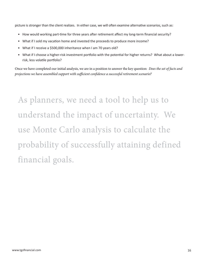picture is stronger than the client realizes. In either case, we will often examine alternative scenarios, such as:

- How would working part-time for three years after retirement affect my long-term financial security?
- What if I sold my vacation home and invested the proceeds to produce more income?
- What if I receive a \$500,000 inheritance when I am 70 years old?
- What if I choose a higher-risk investment portfolio with the potential for higher returns? What about a lowerrisk, less volatile portfolio?

Once we have completed our initial analysis, we are in a position to answer the key question: *Does the set of facts and projections we have assembled support with sufficient confidence a successful retirement scenario?* 

As planners, we need a tool to help us to understand the impact of uncertainty. We use Monte Carlo analysis to calculate the probability of successfully attaining defined financial goals.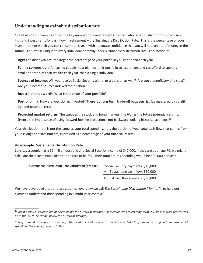# **Understanding sustainable distribution rate**

Out of all of this planning comes the key number for every retired American who relies on distributions from savings and investments for cash flow in retirement – the Sustainable Distribution Rate. This is the percentage of your investment net worth you can consume this year, with adequate confidence that you will not run out of money in the future. This rate is unique to every individual or family. Your sustainable distribution rate is a function of:

Age: The older you are, the larger the percentage of your portfolio you can spend each year.

**Family composition:** A married couple must plan for their portfolio to last longer, and can afford to spend a smaller portion of their wealth each year, than a single individual.

**Sources of income:** Will you receive Social Security alone, or a pension as well? Are you a beneficiary of a trust? Are your income sources indexed for inflation?

**Investment net worth:** What is the value of your portfolio?

**Portfolio mix:** How are your dollars invested? There is a long-term trade-off between risk (as measured by volatility) and potential return.

Projected market returns: The *cheaper* the stock and bond markets, the *higher* the future potential returns. (Hence the importance of using forward-looking projections, not backward-looking historical averages.<sup>10</sup>)

Your distribution rate is not the same as your total spending. It is the portion of your total cash flow that comes from your savings and investments, expressed as a percentage of your financial assets.

# **An example: Sustainable Distributi on Rate**

Let's say a couple has a \$1 million portfolio and Social Security income of \$40,000. If they are both age 70, we might calculate their sustainable distribution rate to be 5%. Their total pre-tax spending would be \$90,000 per year.<sup>11</sup>

#### **Sustainable Distribution Rate Calculation (pre-tax):**

+ Sustainable cash flow: \$50,000 Social Security payments: \$40,000 Annual cash flow (pre-tax): \$90,000

We have developed a proprietary graphical overview we call *The Sustainable Distribution Monitor™*, to help our clients to understand their spending in a multi-year context:

<sup>&</sup>lt;sup>10</sup> Right now U.S. equities are at prices above the historical averages. As a result, we project long-term U.S. stock market returns will *be in the 3% to 7% range, below the historical average.* 

 $11$  Keep in mind this is pre-tax spending. You need to calculate your tax liability and deduct it from your cash flow to determine net *spending. We can help you to do this.*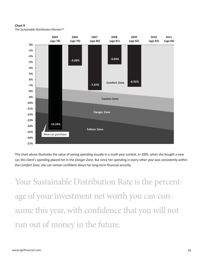#### **Chart 9**

*The Sustainable Distributi on Monitor™*



The chart above illustrates the value of seeing spending visually in a multi-year context. In 2005, when she bought a new car, this client's spending placed her in the *Danger Zone*. But since her spending in every other year was consistently within the *Comfort Zone*, she can remain confident about her long-term financial security.

Your Sustainable Distribution Rate is the percentage of your investment net worth you can consume this year, with confidence that you will not run out of money in the future.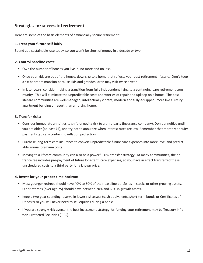# **Strategies for successful retirement**

Here are some of the basic elements of a financially-secure retirement:

# **1. Treat your future self fairly**

Spend at a sustainable rate today, so you won't be short of money in a decade or two.

#### **2. Control baseline costs:**

- Own the number of houses you live in; no more and no less.
- Once your kids are out of the house, downsize to a home that reflects your post-retirement lifestyle. Don't keep a six-bedroom mansion because kids and grandchildren may visit twice a year.
- In later years, consider making a transition from fully independent living to a continuing-care retirement community. This will eliminate the unpredictable costs and worries of repair and upkeep on a home. The best lifecare communities are well-managed, intellectually vibrant, modern and fully-equipped, more like a luxury apartment building or resort than a nursing home.

#### **3. Transfer risks:**

- Consider immediate annuities to shift longevity risk to a third party (insurance company). Don't annuitize until you are older (at least 75), and try not to annuitize when interest rates are low. Remember that monthly annuity payments typically contain no inflation protection.
- Purchase long-term care insurance to convert unpredictable future care expenses into more level and predictable annual premium costs.
- Moving to a lifecare community can also be a powerful risk-transfer strategy. At many communities, the entrance fee includes pre-payment of future long-term care expenses, so you have in effect transferred these unscheduled costs to a third party for a known price.

#### **4. Invest for your proper time horizon:**

- Most younger retirees should have 40% to 60% of their baseline portfolios in stocks or other growing assets. Older retirees (over age 75) should have between 20% and 60% in growth assets.
- Keep a two-year spending reserve in lower-risk assets (cash equivalents, short-term bonds or Certificates of Deposit) so you will never need to sell equities during a panic.
- If you are strongly risk-averse, the best investment strategy for funding your retirement may be Treasury Inflation-Protected Securities (TIPS).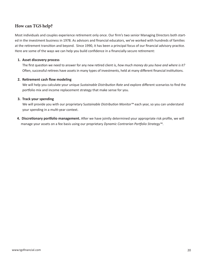# **How can TGS help?**

Most individuals and couples experience retirement only once. Our firm's two senior Managing Directors both started in the investment business in 1978. As advisors and financial educators, we've worked with hundreds of families at the retirement transition and beyond. Since 1990, it has been a principal focus of our financial advisory practice. Here are some of the ways we can help you build confidence in a financially-secure retirement:

#### **1. Asset discovery process**

The first question we need to answer for any new retired client is, *how much money do you have and where is it?* Often, successful retirees have assets in many types of investments, held at many different financial institutions.

# **2. Retirement cash flow modeling**

We will help you calculate your unique *Sustainable Distribution Rate* and explore different scenarios to find the portfolio mix and income replacement strategy that make sense for you.

#### **3. Track your spending**

We will provide you with our proprietary S*ustainable Distributi on Monitor™* each year, so you can understand your spending in a multi-year context.

4. Discretionary portfolio management. After we have jointly determined your appropriate risk profile, we will manage your assets on a fee basis using our proprietary *Dynamic Contrarian Portf olio Strategy™*.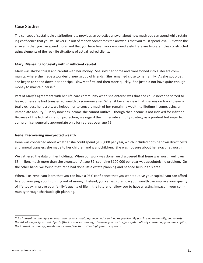# **Case Studies**

The concept of sustainable distribution rate provides an objective answer about how much you can spend while retaining confidence that you will never run out of money. Sometimes the answer is that you must spend less. But often the answer is that you can spend more, and that you have been worrying needlessly. Here are two examples constructed using elements of the real-life situations of actual retired clients.

# **Mary: Managing longevity with insufficient capital**

Mary was always frugal and careful with her money. She sold her home and transitioned into a lifecare community, where she made a wonderful new group of friends. She remained close to her family. As she got older, she began to spend down her principal, slowly at first and then more quickly. She just did not have quite enough money to maintain herself.

Part of Mary's agreement with her life-care community when she entered was that she could never be forced to leave, unless she had transferred wealth to someone else. When it became clear that she was on track to eventually exhaust her assets, we helped her to convert much of her remaining wealth to lifetime income, using an immediate annuity<sup>12</sup>. Mary now has income she cannot outlive – though that income is not indexed for inflation. Because of the lack of inflation protection, we regard the immediate annuity strategy as a prudent but imperfect compromise, generally appropriate only for retirees over age 75.

# **Irene: Discovering unexpected wealth**

Irene was concerned about whether she could spend \$100,000 per year, which included both her own direct costs and annual transfers she made to her children and grandchildren. She was not sure about her exact net worth.

We gathered the data on her holdings. When our work was done, we discovered that Irene was worth well over \$3 million, much more than she expected. At age 82, spending \$100,000 per year was absolutely no problem. On the other hand, we found that Irene had done little estate planning and needed help in this area.

When, like Irene, you learn that you can have a 95% confidence that you won't outlive your capital, you can afford to stop worrying about running out of money. Instead, you can explore how your wealth can improve your quality of life today, improve your family's quality of life in the future, or allow you to have a lasting impact in your community through charitable gift planning.

*<sup>12</sup> An immediate annuity is an insurance contract that pays income for as long as you live. By purchasing an annuity, you transfer*  the risk of longevity to a third party (the insurance company). Because you are in effect systematically consuming your own capital, *the immediate annuity provides more cash flow than other highly-secure options.*